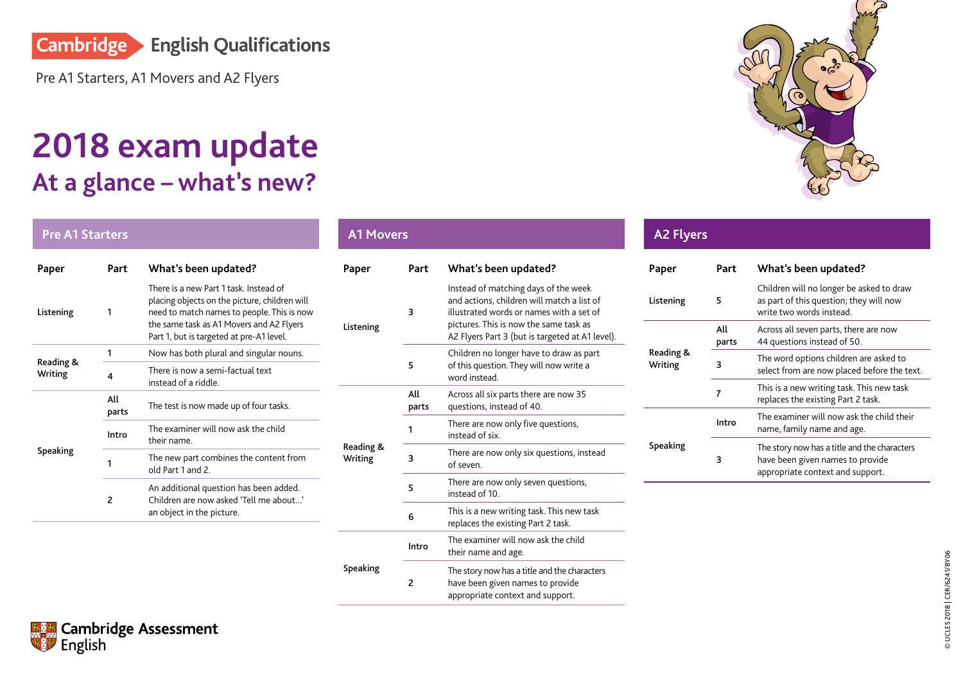

[Pre A1 Starters, A1 Movers and A2 Flyers](http://www.cambridgeenglish.org/exams-and-tests/qualifications/schools/)

## **At a glance – what's new? 2018 exam update**

## **Pre A1 Starters**

| Part                     | What's been updated?                                                                                                                                                                                                         |  |  |  |  |
|--------------------------|------------------------------------------------------------------------------------------------------------------------------------------------------------------------------------------------------------------------------|--|--|--|--|
| 1                        | There is a new Part 1 task Instead of<br>placing objects on the picture, children will<br>need to match names to people. This is now<br>the same task as A1 Movers and A2 Flyers<br>Part 1, but is targeted at pre-A1 level. |  |  |  |  |
| 1                        | Now has both plural and singular nouns.                                                                                                                                                                                      |  |  |  |  |
| 4                        | There is now a semi-factual text<br>instead of a riddle                                                                                                                                                                      |  |  |  |  |
| All<br>parts             | The test is now made up of four tasks.                                                                                                                                                                                       |  |  |  |  |
| Intro                    | The examiner will now ask the child<br>their name                                                                                                                                                                            |  |  |  |  |
| 1                        | The new part combines the content from<br>old Part 1 and 2                                                                                                                                                                   |  |  |  |  |
| $\overline{\phantom{a}}$ | An additional question has been added.<br>Children are now asked 'Tell me about'<br>an object in the picture.                                                                                                                |  |  |  |  |
|                          |                                                                                                                                                                                                                              |  |  |  |  |

## **A1 Movers Paper Part What's been updated?** Listening 3 Instead of matching days of the week and actions, children will match a list of illustrated words or names with a set of pictures. This is now the same task as A2 Flyers Part 3 (but is targeted at A1 level). 5 Children no longer have to draw as part of this question. They will now write a word instead. Reading & Writing All parts Across all six parts there are now 35 questions, instead of 40. <sup>1</sup> There are now only five questions, instead of six. <sup>3</sup> There are now only six questions, instead of seven. 5 There are now only seven questions, instead of 10. <sup>6</sup> This is a new writing task. This new task replaces the existing Part 2 task. Speaking Intro The examiner will now ask the child their name and age. 2 The story now has a title and the characters have been given names to provide appropriate context and support.



| <b>A2 Flyers</b>     |              |                                                                                                                      |  |  |
|----------------------|--------------|----------------------------------------------------------------------------------------------------------------------|--|--|
| Paper                | Part         | What's been updated?                                                                                                 |  |  |
| Listening            | 5            | Children will no longer be asked to draw<br>as part of this question; they will now<br>write two words instead.      |  |  |
|                      | All<br>parts | Across all seven parts, there are now<br>44 questions instead of 50.                                                 |  |  |
| Reading &<br>Writing | 3            | The word options children are asked to<br>select from are now placed before the text.                                |  |  |
|                      | 7            | This is a new writing task. This new task<br>replaces the existing Part 2 task.                                      |  |  |
|                      | Intro        | The examiner will now ask the child their<br>name, family name and age.                                              |  |  |
| <b>Speaking</b>      | 3            | The story now has a title and the characters<br>have been given names to provide<br>appropriate context and support. |  |  |

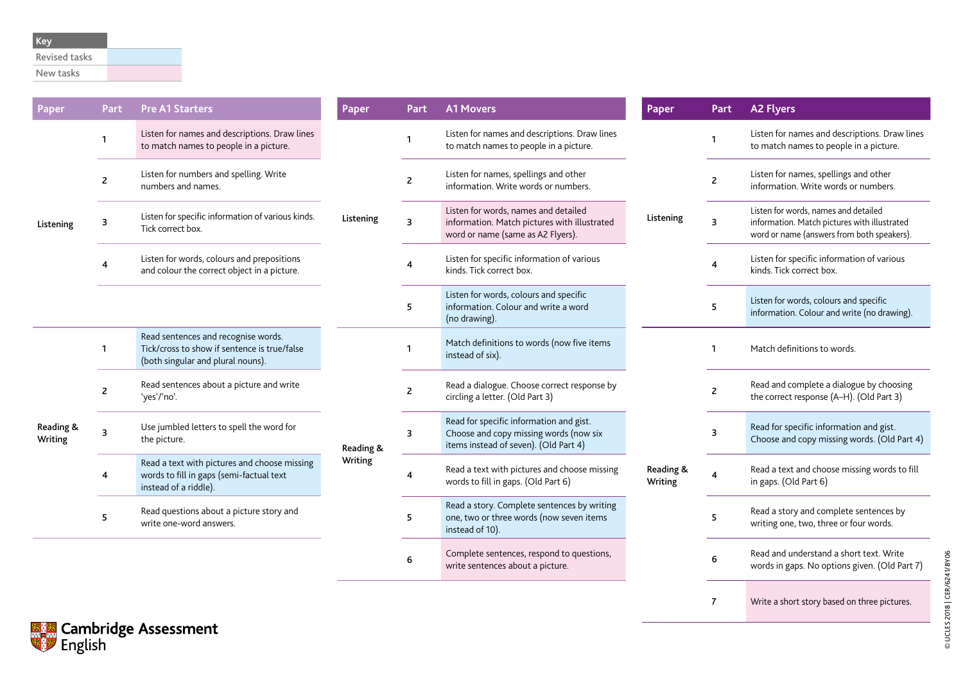New tasks

| Paper                | Part           | <b>Pre A1 Starters</b>                                                                                                   | Paper                | Part           | <b>A1 Movers</b>                                                                                                           | Paper                | Part           | <b>A2 Flyers</b>                                                                                                                   |
|----------------------|----------------|--------------------------------------------------------------------------------------------------------------------------|----------------------|----------------|----------------------------------------------------------------------------------------------------------------------------|----------------------|----------------|------------------------------------------------------------------------------------------------------------------------------------|
| Listening            | -1             | Listen for names and descriptions. Draw lines<br>to match names to people in a picture.                                  | Listening            |                | Listen for names and descriptions. Draw lines<br>to match names to people in a picture.                                    | Listening            |                | Listen for names and descriptions. Draw lines<br>to match names to people in a picture.                                            |
|                      | $\overline{2}$ | Listen for numbers and spelling. Write<br>numbers and names.                                                             |                      | $\overline{2}$ | Listen for names, spellings and other<br>information. Write words or numbers.                                              |                      | 2              | Listen for names, spellings and other<br>information. Write words or numbers.                                                      |
|                      | 3              | Listen for specific information of various kinds.<br>Tick correct box.                                                   |                      | 3              | Listen for words, names and detailed<br>information. Match pictures with illustrated<br>word or name (same as A2 Flyers).  |                      | 3              | Listen for words, names and detailed<br>information. Match pictures with illustrated<br>word or name (answers from both speakers). |
|                      |                | Listen for words, colours and prepositions<br>and colour the correct object in a picture.                                |                      |                | Listen for specific information of various<br>kinds. Tick correct box.                                                     |                      |                | Listen for specific information of various<br>kinds. Tick correct box.                                                             |
|                      |                |                                                                                                                          |                      | 5              | Listen for words, colours and specific<br>information. Colour and write a word<br>(no drawing).                            |                      | 5              | Listen for words, colours and specific<br>information. Colour and write (no drawing).                                              |
| Reading &<br>Writing | $\mathbf{1}$   | Read sentences and recognise words.<br>Tick/cross to show if sentence is true/false<br>(both singular and plural nouns). | Reading &<br>Writing |                | Match definitions to words (now five items<br>instead of six).                                                             | Reading &<br>Writing | 1              | Match definitions to words.                                                                                                        |
|                      | $\overline{2}$ | Read sentences about a picture and write<br>'yes'/'no'.                                                                  |                      | $\overline{2}$ | Read a dialogue. Choose correct response by<br>circling a letter. (Old Part 3)                                             |                      | 2              | Read and complete a dialogue by choosing<br>the correct response (A-H). (Old Part 3)                                               |
|                      | 3              | Use jumbled letters to spell the word for<br>the picture.                                                                |                      | 3              | Read for specific information and gist.<br>Choose and copy missing words (now six<br>items instead of seven). (Old Part 4) |                      | 3              | Read for specific information and gist.<br>Choose and copy missing words. (Old Part 4)                                             |
|                      |                | Read a text with pictures and choose missing<br>words to fill in gaps (semi-factual text<br>instead of a riddle).        |                      | 4              | Read a text with pictures and choose missing<br>words to fill in gaps. (Old Part 6)                                        |                      | $\overline{4}$ | Read a text and choose missing words to fill<br>in gaps. (Old Part 6)                                                              |
|                      | 5              | Read questions about a picture story and<br>write one-word answers.                                                      |                      | 5              | Read a story. Complete sentences by writing<br>one, two or three words (now seven items<br>instead of 10).                 |                      | 5              | Read a story and complete sentences by<br>writing one, two, three or four words.                                                   |
|                      |                |                                                                                                                          |                      | 6              | Complete sentences, respond to questions,<br>write sentences about a picture.                                              |                      | 6              | Read and understand a short text. Write<br>words in gaps. No options given. (Old Part 7)                                           |

7 Write a short story based on three pictures.